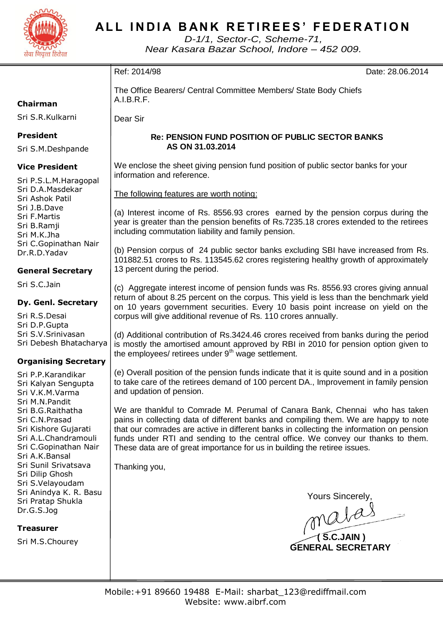

## **ALL INDIA BANK RETIREES' FEDERATION**

*D-1/1, Sector-C, Scheme-71, Near Kasara Bazar School, Indore – 452 009.*

| usu visuu uuu                                                                                                                                       |                                                                                                                                                                                                                                                                                                                                                                                                                                  |  |  |  |  |  |
|-----------------------------------------------------------------------------------------------------------------------------------------------------|----------------------------------------------------------------------------------------------------------------------------------------------------------------------------------------------------------------------------------------------------------------------------------------------------------------------------------------------------------------------------------------------------------------------------------|--|--|--|--|--|
|                                                                                                                                                     | Ref: 2014/98<br>Date: 28.06.2014                                                                                                                                                                                                                                                                                                                                                                                                 |  |  |  |  |  |
| Chairman                                                                                                                                            | The Office Bearers/ Central Committee Members/ State Body Chiefs<br>A.I.B.R.F.                                                                                                                                                                                                                                                                                                                                                   |  |  |  |  |  |
| Sri S.R.Kulkarni                                                                                                                                    | Dear Sir                                                                                                                                                                                                                                                                                                                                                                                                                         |  |  |  |  |  |
| <b>President</b><br>Sri S.M.Deshpande                                                                                                               | <b>Re: PENSION FUND POSITION OF PUBLIC SECTOR BANKS</b><br>AS ON 31.03.2014                                                                                                                                                                                                                                                                                                                                                      |  |  |  |  |  |
| <b>Vice President</b><br>Sri P.S.L.M.Haragopal<br>Sri D.A.Masdekar<br>Sri Ashok Patil<br>Sri J.B.Dave<br>Sri F.Martis<br>Sri B.Ramji<br>Sri M.K.Jha | We enclose the sheet giving pension fund position of public sector banks for your<br>information and reference.                                                                                                                                                                                                                                                                                                                  |  |  |  |  |  |
|                                                                                                                                                     | The following features are worth noting:                                                                                                                                                                                                                                                                                                                                                                                         |  |  |  |  |  |
|                                                                                                                                                     | (a) Interest income of Rs. 8556.93 crores earned by the pension corpus during the<br>year is greater than the pension benefits of Rs.7235.18 crores extended to the retirees<br>including commutation liability and family pension.                                                                                                                                                                                              |  |  |  |  |  |
| Sri C.Gopinathan Nair<br>Dr.R.D.Yadav<br><b>General Secretary</b>                                                                                   | (b) Pension corpus of 24 public sector banks excluding SBI have increased from Rs.<br>101882.51 crores to Rs. 113545.62 crores registering healthy growth of approximately<br>13 percent during the period.                                                                                                                                                                                                                      |  |  |  |  |  |
| Sri S.C.Jain                                                                                                                                        | (c) Aggregate interest income of pension funds was Rs. 8556.93 crores giving annual                                                                                                                                                                                                                                                                                                                                              |  |  |  |  |  |
| Dy. Genl. Secretary                                                                                                                                 | return of about 8.25 percent on the corpus. This yield is less than the benchmark yield<br>on 10 years government securities. Every 10 basis point increase on yield on the                                                                                                                                                                                                                                                      |  |  |  |  |  |
| Sri R.S.Desai<br>Sri D.P.Gupta                                                                                                                      | corpus will give additional revenue of Rs. 110 crores annually.                                                                                                                                                                                                                                                                                                                                                                  |  |  |  |  |  |
| Sri S.V.Srinivasan<br>Sri Debesh Bhatacharya                                                                                                        | (d) Additional contribution of Rs.3424.46 crores received from banks during the period<br>is mostly the amortised amount approved by RBI in 2010 for pension option given to<br>the employees/ retirees under 9 <sup>th</sup> wage settlement.                                                                                                                                                                                   |  |  |  |  |  |
| <b>Organising Secretary</b>                                                                                                                         |                                                                                                                                                                                                                                                                                                                                                                                                                                  |  |  |  |  |  |
| Sri P.P.Karandikar<br>Sri Kalyan Sengupta<br>Sri V.K.M.Varma<br>Sri M.N.Pandit                                                                      | (e) Overall position of the pension funds indicate that it is quite sound and in a position<br>to take care of the retirees demand of 100 percent DA., Improvement in family pension<br>and updation of pension.                                                                                                                                                                                                                 |  |  |  |  |  |
| Sri B.G.Raithatha<br>Sri C.N.Prasad<br>Sri Kishore Gujarati<br>Sri A.L.Chandramouli<br>Sri C.Gopinathan Nair<br>Sri A.K.Bansal                      | We are thankful to Comrade M. Perumal of Canara Bank, Chennai who has taken<br>pains in collecting data of different banks and compiling them. We are happy to note<br>that our comrades are active in different banks in collecting the information on pension<br>funds under RTI and sending to the central office. We convey our thanks to them.<br>These data are of great importance for us in building the retiree issues. |  |  |  |  |  |
| Sri Sunil Srivatsava<br>Sri Dilip Ghosh<br>Sri S.Velayoudam                                                                                         | Thanking you,                                                                                                                                                                                                                                                                                                                                                                                                                    |  |  |  |  |  |
| Sri Anindya K. R. Basu<br>Sri Pratap Shukla<br>Dr.G.S.Jog                                                                                           | Yours Sincerely,<br>malas                                                                                                                                                                                                                                                                                                                                                                                                        |  |  |  |  |  |
| <b>Treasurer</b>                                                                                                                                    |                                                                                                                                                                                                                                                                                                                                                                                                                                  |  |  |  |  |  |
| Sri M.S.Chourey                                                                                                                                     | <b>GENERAL SECRETARY</b>                                                                                                                                                                                                                                                                                                                                                                                                         |  |  |  |  |  |
|                                                                                                                                                     |                                                                                                                                                                                                                                                                                                                                                                                                                                  |  |  |  |  |  |